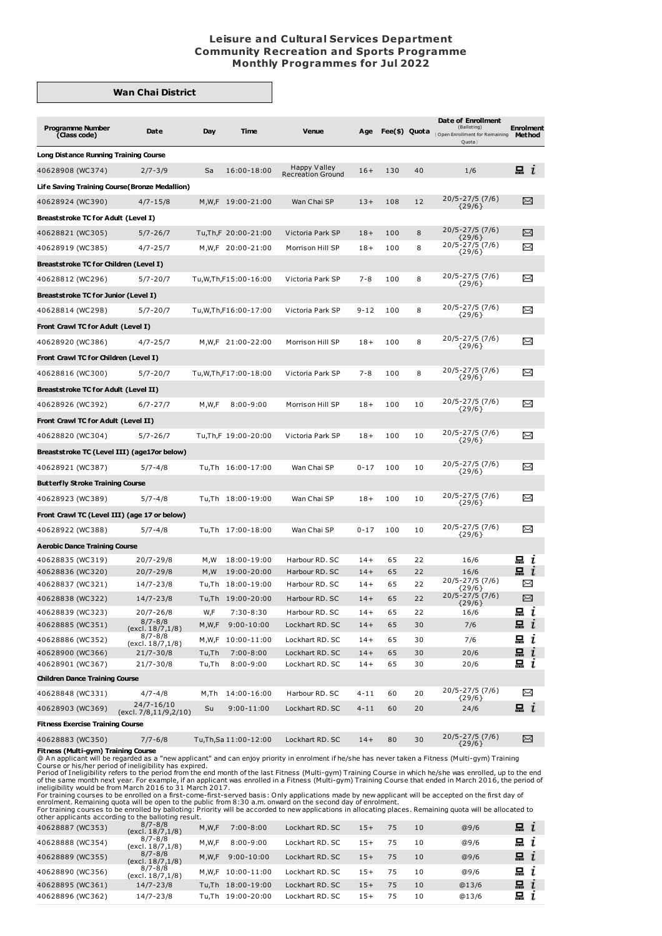## **Leisure and Cultural Services Department Community Recreation and Sports Programme Monthly Programmes for Jul 2022**

## **Wan Chai District**

| <b>Programme Number</b><br>(Class code)                  | Date                                  | Day        | Time                        | <b>Venue</b>                             | Age      |     |    | Date of Enrollment<br>(Balloting)<br>Fee(\$) Quota (Open Enrollment for Remaining<br>Quota) | Enrolment<br>Method |
|----------------------------------------------------------|---------------------------------------|------------|-----------------------------|------------------------------------------|----------|-----|----|---------------------------------------------------------------------------------------------|---------------------|
| <b>Long Distance Running Training Course</b>             |                                       |            |                             |                                          |          |     |    |                                                                                             |                     |
| 40628908 (WC374)                                         | $2/7 - 3/9$                           | Sa         | 16:00-18:00                 | Happy Valley<br><b>Recreation Ground</b> | $16+$    | 130 | 40 | 1/6                                                                                         | $\blacksquare$ $i$  |
| Life Saving Training Course (Bronze Medallion)           |                                       |            |                             |                                          |          |     |    |                                                                                             |                     |
| 40628924 (WC390)                                         | $4/7 - 15/8$                          |            | M,W,F 19:00-21:00           | Wan Chai SP                              | $13+$    | 108 | 12 | 20/5-27/5 (7/6)<br>${29/6}$                                                                 | X                   |
| Breaststroke TC for Adult (Level I)                      |                                       |            |                             |                                          |          |     |    |                                                                                             |                     |
| 40628821 (WC305)                                         | $5/7 - 26/7$                          |            | Tu, Th, F 20:00-21:00       | Victoria Park SP                         | $18+$    | 100 | 8  | 20/5-27/5 (7/6)                                                                             | X                   |
| 40628919 (WC385)                                         | $4/7 - 25/7$                          |            | M,W,F 20:00-21:00           | Morrison Hill SP                         | $18+$    | 100 | 8  | ${29/6}$<br>20/5-27/5 (7/6)                                                                 | $\Join$             |
| Breaststroke TC for Children (Level I)                   |                                       |            |                             |                                          |          |     |    | ${29/6}$                                                                                    |                     |
| 40628812 (WC296)                                         | $5/7 - 20/7$                          |            | Tu, W, Th, F15: 00 - 16: 00 | Victoria Park SP                         | $7 - 8$  | 100 | 8  | 20/5-27/5 (7/6)                                                                             | ∝                   |
| Breaststroke TC for Junior (Level I)                     |                                       |            |                             |                                          |          |     |    | ${29/6}$                                                                                    |                     |
|                                                          |                                       |            |                             |                                          | $9 - 12$ | 100 | 8  | 20/5-27/5 (7/6)                                                                             | X                   |
| 40628814 (WC298)                                         | $5/7 - 20/7$                          |            | Tu, W, Th, F16: 00-17: 00   | Victoria Park SP                         |          |     |    | ${29/6}$                                                                                    |                     |
| Front Crawl TC for Adult (Level I)                       |                                       |            |                             |                                          |          |     |    | 20/5-27/5 (7/6)                                                                             |                     |
| 40628920 (WC386)                                         | $4/7 - 25/7$                          |            | M,W,F 21:00-22:00           | Morrison Hill SP                         | $18+$    | 100 | 8  | ${29/6}$                                                                                    | ⊠                   |
| Front Crawl TC for Children (Level I)                    |                                       |            |                             |                                          |          |     |    |                                                                                             |                     |
| 40628816 (WC300)                                         | $5/7 - 20/7$                          |            | Tu, W, Th, F17: 00-18: 00   | Victoria Park SP                         | $7 - 8$  | 100 | 8  | $20/5 - 27/5(7/6)$<br>${29/6}$                                                              | ∝                   |
| <b>Breaststroke TC for Adult (Level II)</b>              |                                       |            |                             |                                          |          |     |    |                                                                                             |                     |
| 40628926 (WC392)                                         | $6/7 - 27/7$                          | M,W,F      | $8:00 - 9:00$               | Morrison Hill SP                         | $18+$    | 100 | 10 | 20/5-27/5 (7/6)<br>${29/6}$                                                                 | $\Join$             |
| Front Crawl TC for Adult (Level II)                      |                                       |            |                             |                                          |          |     |    |                                                                                             |                     |
| 40628820 (WC304)                                         | $5/7 - 26/7$                          |            | Tu, Th, F 19:00-20:00       | Victoria Park SP                         | $18+$    | 100 | 10 | 20/5-27/5 (7/6)<br>${29/6}$                                                                 | ∼                   |
| Breaststroke TC (Level III) (age17or below)              |                                       |            |                             |                                          |          |     |    |                                                                                             |                     |
| 40628921 (WC387)                                         | $5/7 - 4/8$                           |            | Tu,Th 16:00-17:00           | Wan Chai SP                              | $0 - 17$ | 100 | 10 | 20/5-27/5 (7/6)<br>${29/6}$                                                                 | $\Join$             |
| <b>Butterfly Stroke Training Course</b>                  |                                       |            |                             |                                          |          |     |    |                                                                                             |                     |
| 40628923 (WC389)                                         | $5/7 - 4/8$                           |            | Tu,Th 18:00-19:00           | Wan Chai SP                              | $18+$    | 100 | 10 | 20/5-27/5 (7/6)                                                                             | Ň                   |
| Front Crawl TC (Level III) (age 17 or below)             |                                       |            |                             |                                          |          |     |    | $\{29/6\}$                                                                                  |                     |
| 40628922 (WC388)                                         | $5/7 - 4/8$                           |            | Tu,Th 17:00-18:00           | Wan Chai SP                              | $0 - 17$ | 100 | 10 | 20/5-27/5 (7/6)                                                                             | X                   |
|                                                          |                                       |            |                             |                                          |          |     |    | ${29/6}$                                                                                    |                     |
| <b>Aerobic Dance Training Course</b><br>40628835 (WC319) |                                       |            |                             | Harbour RD, SC                           | $14+$    | 65  | 22 |                                                                                             | 묘                   |
| 40628836 (WC320)                                         | 20/7-29/8<br>20/7-29/8                | M,W<br>M,W | 18:00-19:00<br>19:00-20:00  | Harbour RD, SC                           | $14+$    | 65  | 22 | 16/6<br>16/6                                                                                | ı<br>묘ι             |
| 40628837 (WC321)                                         | 14/7-23/8                             |            | Tu,Th 18:00-19:00           | Harbour RD. SC                           | $14+$    | 65  | 22 | 20/5-27/5 (7/6)                                                                             | X                   |
| 40628838 (WC322)                                         | 14/7-23/8                             |            | Tu,Th 19:00-20:00           | Harbour RD. SC                           | $14+$    | 65  | 22 | {29/6}<br>20/5-27/5 (7/6)                                                                   | X                   |
| 40628839 (WC323)                                         | 20/7-26/8                             | W,F        | 7:30-8:30                   | Harbour RD. SC                           | $14+$    | 65  | 22 | ${29/6}$<br>16/6                                                                            | $\Xi$ i             |
| 40628885 (WC351)                                         | $8/7 - 8/8$<br>(excl. 18/7,1/8)       | M,W,F      | $9:00 - 10:00$              | Lockhart RD. SC                          | $14+$    | 65  | 30 | 7/6                                                                                         | $\mathbf{u}$        |
| 40628886 (WC352)                                         | $8/7 - 8/8$<br>(excl. 18/7,1/8)       | M,W,F      | 10:00-11:00                 | Lockhart RD. SC                          | $14+$    | 65  | 30 | 7/6                                                                                         | $\mathbf{a}$ i      |
| 40628900 (WC366)                                         | $21/7 - 30/8$                         | Tu,Th      | $7:00 - 8:00$               | Lockhart RD. SC                          | $14+$    | 65  | 30 | 20/6                                                                                        | 묘<br>ı              |
| 40628901 (WC367)                                         | $21/7 - 30/8$                         | Tu,Th      | $8:00 - 9:00$               | Lockhart RD. SC                          | $14+$    | 65  | 30 | 20/6                                                                                        | 됴<br>$\mathbf{I}$   |
| <b>Children Dance Training Course</b>                    |                                       |            |                             |                                          |          |     |    |                                                                                             |                     |
| 40628848 (WC331)                                         | $4/7 - 4/8$                           | M,Th       | 14:00-16:00                 | Harbour RD. SC                           | $4 - 11$ | 60  | 20 | 20/5-27/5 (7/6)<br>${29/6}$                                                                 | ⊠                   |
| 40628903 (WC369)                                         | 24/7-16/10<br>(excl. 7/8, 11/9, 2/10) | Su         | $9:00 - 11:00$              | Lockhart RD. SC                          | $4 - 11$ | 60  | 20 | 24/6                                                                                        | $\Xi$ i             |
| <b>Fitness Exercise Training Course</b>                  |                                       |            |                             |                                          |          |     |    |                                                                                             |                     |
| 40628883 (WC350)                                         | $7/7 - 6/8$                           |            | Tu, Th, Sa 11:00-12:00      | Lockhart RD. SC                          | $14+$    | 80  | 30 | $20/5 - 27/5$ (7/6)<br>${29/6}$                                                             | X                   |
| Fitness (Multi-gym) Training Course                      |                                       |            |                             |                                          |          |     |    |                                                                                             |                     |

**Fines (Multi-gym)** Training courses to be enrolled on a first-come-first-served basis: Only applications in allocating places. Remaining quota will be allocated to other applicant will be regarded as a "new applicant" an

| 40628896 (WC362) | 14/7-23/8                       |       | Tu,Th 19:00-20:00 | Lockhart RD, SC | $15+$ | 75 | 10  | @13/6 | 묘 $i$            |  |
|------------------|---------------------------------|-------|-------------------|-----------------|-------|----|-----|-------|------------------|--|
| 40628895 (WC361) | $14/7 - 23/8$                   |       | Tu.Th 18:00-19:00 | Lockhart RD, SC | $15+$ | 75 | 10  | @13/6 | i                |  |
| 40628890 (WC356) | $8/7 - 8/8$<br>(excl. 18/7,1/8) | M.W.F | 10:00-11:00       | Lockhart RD, SC | $15+$ | 75 | 10  | @9/6  | 묘 $i$            |  |
| 40628889 (WC355) | $8/7 - 8/8$<br>(excl. 18/7,1/8) | M.W.F | $9:00 - 10:00$    | Lockhart RD, SC | $15+$ | 75 | 10  | @9/6  | $\mathbf{a}$ i   |  |
| 40628888 (WC354) | $8/7 - 8/8$<br>(excl. 18/7,1/8) | M.W.F | $8:00 - 9:00$     | Lockhart RD, SC | $15+$ |    | 10  | @9/6  | i                |  |
| 40628887 (WC353) | (excl. 18/7,1/8)                | M.W.F | $7:00 - 8:00$     | Lockhart RD, SC | $15+$ | 75 | 1 O | @9/6  | $\boldsymbol{u}$ |  |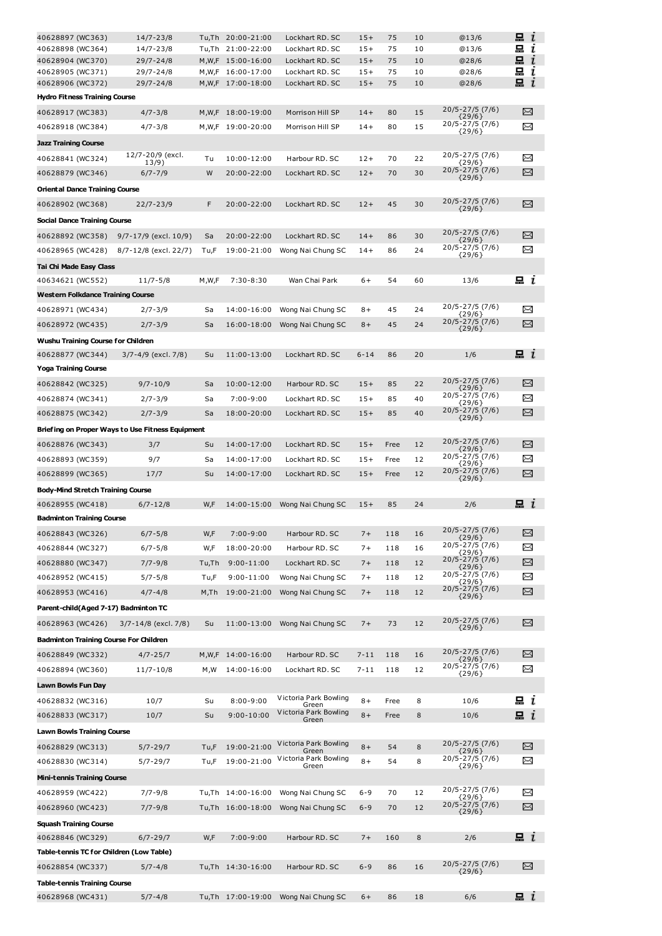| 40628897 (WC363)                              | $14/7 - 23/8$                                    |       | Tu,Th 20:00-21:00                      | Lockhart RD. SC                    | $15+$          | 75       | 10       | @13/6                          | 묘<br>ı                      |
|-----------------------------------------------|--------------------------------------------------|-------|----------------------------------------|------------------------------------|----------------|----------|----------|--------------------------------|-----------------------------|
| 40628898 (WC364)                              | 14/7-23/8                                        |       | Tu,Th 21:00-22:00                      | Lockhart RD. SC                    | $15+$          | 75       | 10       | @13/6                          | 묘<br>ı                      |
| 40628904 (WC370)<br>40628905 (WC371)          | 29/7-24/8<br>$29/7 - 24/8$                       |       | M,W,F 15:00-16:00<br>M,W,F 16:00-17:00 | Lockhart RD. SC<br>Lockhart RD. SC | $15+$<br>$15+$ | 75<br>75 | 10<br>10 | @28/6<br>@28/6                 | 묘<br>$\mathbf{r}$<br>묘<br>ı |
| 40628906 (WC372)                              | $29/7 - 24/8$                                    |       | M,W,F 17:00-18:00                      | Lockhart RD. SC                    | $15+$          | 75       | 10       | @28/6                          | 묘<br>ī                      |
| <b>Hydro Fitness Training Course</b>          |                                                  |       |                                        |                                    |                |          |          |                                |                             |
| 40628917 (WC383)                              | $4/7 - 3/8$                                      |       | M,W,F 18:00-19:00                      | Morrison Hill SP                   | $14+$          | 80       | 15       | 20/5-27/5 (7/6)                | X                           |
| 40628918 (WC384)                              | $4/7 - 3/8$                                      |       | M,W,F 19:00-20:00                      | Morrison Hill SP                   | $14+$          | 80       | 15       | ${29/6}$<br>20/5-27/5 (7/6)    | X                           |
| <b>Jazz Training Course</b>                   |                                                  |       |                                        |                                    |                |          |          | ${29/6}$                       |                             |
| 40628841 (WC324)                              | 12/7-20/9 (excl.                                 | Tu    | 10:00-12:00                            | Harbour RD. SC                     | $12+$          | 70       | 22       | 20/5-27/5 (7/6)                | $\Join$                     |
| 40628879 (WC346)                              | 13/9)<br>$6/7 - 7/9$                             | W     | 20:00-22:00                            | Lockhart RD, SC                    | $12+$          | 70       | 30       | ${29/6}$<br>20/5-27/5 (7/6)    | X                           |
| <b>Oriental Dance Training Course</b>         |                                                  |       |                                        |                                    |                |          |          | ${29/6}$                       |                             |
|                                               |                                                  | F     |                                        |                                    |                |          |          | 20/5-27/5 (7/6)                | X                           |
| 40628902 (WC368)                              | $22/7 - 23/9$                                    |       | 20:00-22:00                            | Lockhart RD. SC                    | $12+$          | 45       | 30       | ${29/6}$                       |                             |
| Social Dance Training Course                  |                                                  |       |                                        |                                    |                |          |          | 20/5-27/5 (7/6)                |                             |
| 40628892 (WC358)                              | 9/7-17/9 (excl. 10/9)                            | Sa    | 20:00-22:00                            | Lockhart RD. SC                    | $14+$          | 86       | 30       | ${29/6}$<br>20/5-27/5 (7/6)    | X                           |
| 40628965 (WC428)                              | 8/7-12/8 (excl. 22/7)                            | Tu,F  | 19:00-21:00                            | Wong Nai Chung SC                  | $14+$          | 86       | 24       | ${29/6}$                       | X                           |
| Tai Chi Made Easy Class                       |                                                  |       |                                        |                                    |                |          |          |                                |                             |
| 40634621 (WC552)                              | $11/7 - 5/8$                                     | M,W,F | $7:30 - 8:30$                          | Wan Chai Park                      | 6+             | 54       | 60       | 13/6                           | $\mathbf{a}$ i              |
| <b>Western Folkdance Training Course</b>      |                                                  |       |                                        |                                    |                |          |          | 20/5-27/5 (7/6)                |                             |
| 40628971 (WC434)                              | $2/7 - 3/9$                                      | Sa    | 14:00-16:00                            | Wong Nai Chung SC                  | $8+$           | 45       | 24       | ${29/6}$                       | $\Join$                     |
| 40628972 (WC435)                              | $2/7 - 3/9$                                      | Sa    | 16:00-18:00                            | Wong Nai Chung SC                  | $8+$           | 45       | 24       | 20/5-27/5 (7/6)<br>${29/6}$    | X                           |
| Wushu Training Course for Children            |                                                  |       |                                        |                                    |                |          |          |                                |                             |
| 40628877 (WC344)                              | 3/7-4/9 (excl. 7/8)                              | Su    | 11:00-13:00                            | Lockhart RD. SC                    | $6 - 14$       | 86       | 20       | 1/6                            | $\mathbf{a}$ i              |
| <b>Yoga Training Course</b>                   |                                                  |       |                                        |                                    |                |          |          |                                |                             |
| 40628842 (WC325)                              | $9/7 - 10/9$                                     | Sa    | 10:00-12:00                            | Harbour RD. SC                     | $15+$          | 85       | 22       | 20/5-27/5 (7/6)<br>${29/6}$    | X                           |
| 40628874 (WC341)                              | $2/7 - 3/9$                                      | Sa    | $7:00 - 9:00$                          | Lockhart RD. SC                    | $15+$          | 85       | 40       | 20/5-27/5 (7/6)<br>{29/6}      | $\Join$                     |
| 40628875 (WC342)                              | $2/7 - 3/9$                                      | Sa    | 18:00-20:00                            | Lockhart RD. SC                    | $15+$          | 85       | 40       | 20/5-27/5 (7/6)<br>${29/6}$    | X                           |
|                                               | Briefing on Proper Ways to Use Fitness Equipment |       |                                        |                                    |                |          |          |                                |                             |
| 40628876 (WC343)                              | 3/7                                              | Su    | 14:00-17:00                            | Lockhart RD. SC                    | $15+$          | Free     | 12       | 20/5-27/5 (7/6)                | X                           |
| 40628893 (WC359)                              | 9/7                                              | Sa    | 14:00-17:00                            | Lockhart RD. SC                    | $15+$          | Free     | 12       | ${29/6}$<br>20/5-27/5 (7/6)    | X                           |
| 40628899 (WC365)                              | 17/7                                             | Su    | 14:00-17:00                            | Lockhart RD, SC                    | $15+$          | Free     | 12       | ${29/6}$<br>20/5-27/5 (7/6)    | χ                           |
|                                               |                                                  |       |                                        |                                    |                |          |          | ${29/6}$                       |                             |
| <b>Body-Mind Stretch Training Course</b>      |                                                  |       |                                        |                                    |                |          |          |                                |                             |
| 40628955 (WC418)                              | $6/7 - 12/8$                                     | W,F   | 14:00-15:00                            | Wong Nai Chung SC                  | $15+$          | 85       | 24       | 2/6                            | $\Xi$ $\iota$               |
| <b>Badminton Training Course</b>              |                                                  |       |                                        |                                    |                |          |          | 20/5-27/5 (7/6)                |                             |
| 40628843 (WC326)                              | $6/7 - 5/8$                                      | W,F   | $7:00 - 9:00$                          | Harbour RD. SC                     | $7+$           | 118      | 16       | ${29/6}$                       | $\scriptstyle\asymp$        |
| 40628844 (WC327)                              | $6/7 - 5/8$                                      | W,F   | 18:00-20:00                            | Harbour RD. SC                     | $7+$           | 118      | 16       | 20/5-27/5 (7/6)<br>${29/6}$    | X                           |
| 40628880 (WC347)                              | $7/7 - 9/8$                                      | Tu,Th | $9:00 - 11:00$                         | Lockhart RD. SC                    | $7+$           | 118      | 12       | 20/5-27/5 (7/6)<br>${29/6}$    | X                           |
| 40628952 (WC415)                              | $5/7 - 5/8$                                      | Tu,F  | 9:00-11:00                             | Wong Nai Chung SC                  | $7+$           | 118      | 12       | 20/5-27/5 (7/6)<br>${29/6}$    | X                           |
| 40628953 (WC416)                              | $4/7 - 4/8$                                      | M,Th  | 19:00-21:00                            | Wong Nai Chung SC                  | $7+$           | 118      | 12       | 20/5-27/5 (7/6)<br>${29/6}$    | X                           |
| Parent-child(Aged 7-17) Badminton TC          |                                                  |       |                                        |                                    |                |          |          |                                |                             |
| 40628963 (WC426)                              | $3/7 - 14/8$ (excl. 7/8)                         | Su    | 11:00-13:00                            | Wong Nai Chung SC                  | $7+$           | 73       | 12       | 20/5-27/5 (7/6)<br>${29/6}$    | X                           |
| <b>Badminton Training Course For Children</b> |                                                  |       |                                        |                                    |                |          |          |                                |                             |
| 40628849 (WC332)                              | $4/7 - 25/7$                                     | M,W,F | 14:00-16:00                            | Harbour RD. SC                     | $7 - 11$       | 118      | 16       | 20/5-27/5 (7/6)<br>${29/6}$    | ⊠                           |
| 40628894 (WC360)                              | $11/7 - 10/8$                                    | M,W   | 14:00-16:00                            | Lockhart RD, SC                    | 7-11           | 118      | 12       | 20/5-27/5 (7/6)<br>${29/6}$    | X                           |
| Lawn Bowls Fun Day                            |                                                  |       |                                        |                                    |                |          |          |                                |                             |
| 40628832 (WC316)                              | 10/7                                             | Su    | $8:00 - 9:00$                          | Victoria Park Bowling              | $8+$           | Free     | 8        | 10/6                           | 묘 <i>ι</i>                  |
| 40628833 (WC317)                              | 10/7                                             | Su    | 9:00-10:00                             | Green<br>Victoria Park Bowling     | $8+$           | Free     | 8        | 10/6                           | i                           |
| <b>Lawn Bowls Training Course</b>             |                                                  |       |                                        | Green                              |                |          |          |                                |                             |
| 40628829 (WC313)                              | $5/7 - 29/7$                                     | Tu,F  | 19:00-21:00                            | Victoria Park Bowling              | $8+$           | 54       | 8        | 20/5-27/5 (7/6)                | X                           |
| 40628830 (WC314)                              | $5/7 - 29/7$                                     | Tu,F  | 19:00-21:00                            | Green<br>Victoria Park Bowling     | $8+$           | 54       | 8        | ${29/6}$<br>20/5-27/5 (7/6)    | X                           |
|                                               |                                                  |       |                                        | Green                              |                |          |          | ${29/6}$                       |                             |
| <b>Mini-tennis Training Course</b>            |                                                  |       |                                        |                                    |                |          |          | 20/5-27/5 (7/6)                |                             |
| 40628959 (WC422)                              | $7/7 - 9/8$                                      |       | Tu,Th 14:00-16:00                      | Wong Nai Chung SC                  | $6 - 9$        | 70       | 12       | ${29/6}$<br>20/5-27/5 (7/6)    | X                           |
| 40628960 (WC423)                              | $7/7 - 9/8$                                      |       | Tu,Th 16:00-18:00                      | Wong Nai Chung SC                  | $6 - 9$        | 70       | 12       | ${29/6}$                       | X                           |
| <b>Squash Training Course</b>                 |                                                  |       |                                        |                                    |                |          |          |                                |                             |
| 40628846 (WC329)                              | $6/7 - 29/7$                                     | W,F   | $7:00-9:00$                            | Harbour RD. SC                     | $7+$           | 160      | 8        | 2/6                            | $\mathbf{a}$ i              |
| Table-tennis TC for Children (Low Table)      |                                                  |       |                                        |                                    |                |          |          |                                |                             |
| 40628854 (WC337)                              | $5/7 - 4/8$                                      |       | Tu,Th 14:30-16:00                      | Harbour RD. SC                     | $6 - 9$        | 86       | 16       | $20/5 - 27/5(7/6)$<br>${29/6}$ | X                           |
| <b>Table-tennis Training Course</b>           |                                                  |       |                                        |                                    |                |          |          |                                |                             |
| 40628968 (WC431)                              | $5/7 - 4/8$                                      |       | Tu,Th 17:00-19:00                      | Wong Nai Chung SC                  | $6+$           | 86       | 18       | 6/6                            | $\Xi$ $\iota$               |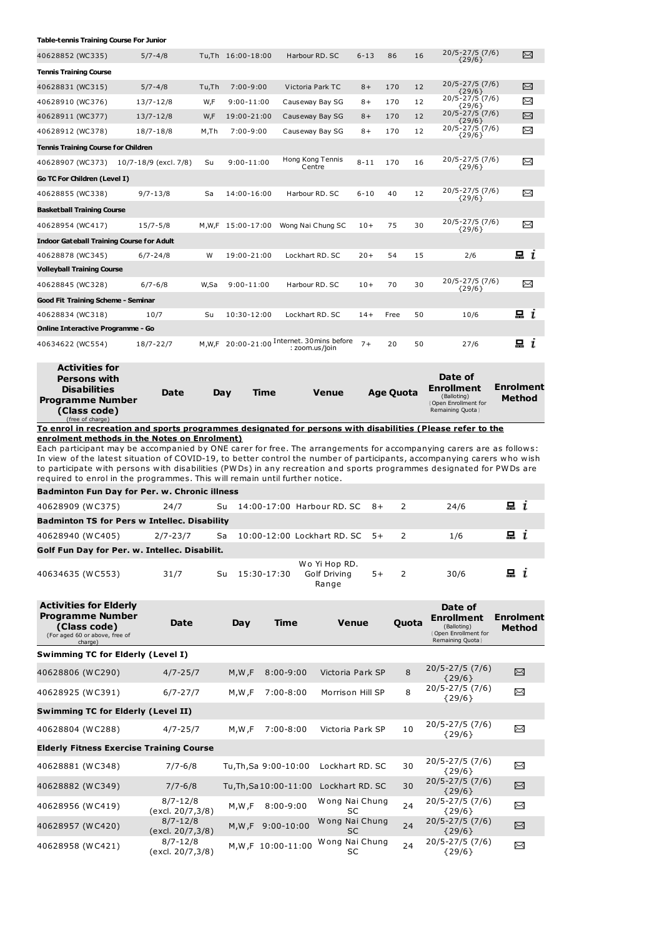## **Table-tennis Training Course For Junior**

| 40628852 (WC335)                                 | $5/7 - 4/8$           |       | Tu.Th 16:00-18:00 | Harbour RD, SC                                        | $6 - 13$ | 86   | 16 | $20/5 - 27/5(7/6)$<br>${29/6}$  | X       |
|--------------------------------------------------|-----------------------|-------|-------------------|-------------------------------------------------------|----------|------|----|---------------------------------|---------|
| <b>Tennis Training Course</b>                    |                       |       |                   |                                                       |          |      |    |                                 |         |
| 40628831 (WC315)                                 | $5/7 - 4/8$           | Tu,Th | $7:00 - 9:00$     | Victoria Park TC                                      | $8+$     | 170  | 12 | $20/5 - 27/5$ (7/6)<br>${29/6}$ | X       |
| 40628910 (WC376)                                 | $13/7 - 12/8$         | W,F   | $9:00 - 11:00$    | Causeway Bay SG                                       | $8+$     | 170  | 12 | 20/5-27/5 (7/6)<br>${29/6}$     | X       |
| 40628911 (WC377)                                 | $13/7 - 12/8$         | W,F   | 19:00-21:00       | Causeway Bay SG                                       | $8+$     | 170  | 12 | 20/5-27/5 (7/6)<br>${29/6}$     | X       |
| 40628912 (WC378)                                 | $18/7 - 18/8$         | M,Th  | $7:00 - 9:00$     | Causeway Bay SG                                       | $8+$     | 170  | 12 | 20/5-27/5 (7/6)<br>${29/6}$     | X       |
| <b>Tennis Training Course for Children</b>       |                       |       |                   |                                                       |          |      |    |                                 |         |
| 40628907 (WC373)                                 | 10/7-18/9 (excl. 7/8) | Su    | $9:00 - 11:00$    | Hong Kong Tennis<br>Centre                            | $8 - 11$ | 170  | 16 | 20/5-27/5 (7/6)<br>${29/6}$     | X       |
| Go TC For Children (Level I)                     |                       |       |                   |                                                       |          |      |    |                                 |         |
| 40628855 (WC338)                                 | $9/7 - 13/8$          | Sa    | 14:00-16:00       | Harbour RD, SC                                        | $6 - 10$ | 40   | 12 | 20/5-27/5 (7/6)<br>${29/6}$     | X       |
| <b>Basketball Training Course</b>                |                       |       |                   |                                                       |          |      |    |                                 |         |
| 40628954 (WC417)                                 | $15/7 - 5/8$          | M,W,F | 15:00-17:00       | Wong Nai Chung SC                                     | $10+$    | 75   | 30 | 20/5-27/5 (7/6)<br>${29/6}$     | X       |
| <b>Indoor Gateball Training Course for Adult</b> |                       |       |                   |                                                       |          |      |    |                                 |         |
| 40628878 (WC345)                                 | $6/7 - 24/8$          | W     | 19:00-21:00       | Lockhart RD, SC                                       | $20+$    | 54   | 15 | 2/6                             | $\Xi$ i |
| <b>Volleyball Training Course</b>                |                       |       |                   |                                                       |          |      |    |                                 |         |
| 40628845 (WC328)                                 | $6/7 - 6/8$           | W,Sa  | $9:00 - 11:00$    | Harbour RD, SC                                        | $10+$    | 70   | 30 | 20/5-27/5 (7/6)<br>${29/6}$     | X       |
| Good Fit Training Scheme - Seminar               |                       |       |                   |                                                       |          |      |    |                                 |         |
| 40628834 (WC318)                                 | 10/7                  | Su    | 10:30-12:00       | Lockhart RD, SC                                       | $14+$    | Free | 50 | 10/6                            | u i     |
| <b>Online Interactive Programme - Go</b>         |                       |       |                   |                                                       |          |      |    |                                 |         |
| 40634622 (WC554)                                 | 18/7-22/7             | M.W.F |                   | 20:00-21:00 Internet. 30mins before<br>: zoom.us/join | $7+$     | 20   | 50 | 27/6                            | 묘 i     |
| Activities for                                   |                       |       |                   |                                                       |          |      |    |                                 |         |

| ALUVIULJ IVI<br><b>Persons with</b><br><b>Disabilities</b><br><b>Programme Number</b><br>(Class code)<br>(free of charge) | Date | Dav | Time | <b>Venue</b> | <b>Age Quota</b> | Date of<br><b>Enrollment</b><br>(Balloting)<br>Open Enrollment for<br>Remaining Quota | <b>Enrolment</b><br><b>Method</b> |  |
|---------------------------------------------------------------------------------------------------------------------------|------|-----|------|--------------|------------------|---------------------------------------------------------------------------------------|-----------------------------------|--|
| To enrol in recreation and sports programmes designated for persons with disabilities (Please refer to the                |      |     |      |              |                  |                                                                                       |                                   |  |

**enrolment methods in the Notes on Enrolment)**

Each participant may be accompanied by ONE carer for free. The arrangements for accompanying carers are as follows: In view of the latest situation of COVID-19, to better control the number of participants, accompanying carers who wish to participate with persons with disabilities (PWDs) in any recreation and sports programmes designated for PWDs are required to enrol in the programmes. This will remain until further notice.

| <b>Badminton Fun Day for Per. w. Chronic illness</b> |          |    |             |                                  |      |                |      |                |  |  |  |  |  |
|------------------------------------------------------|----------|----|-------------|----------------------------------|------|----------------|------|----------------|--|--|--|--|--|
| 40628909 (WC375)                                     | 24/7     | Su |             | 14:00-17:00 Harbour RD. SC 8+    |      | $\overline{2}$ | 24/6 | $\mathbf{a}$ i |  |  |  |  |  |
| <b>Badminton TS for Pers w Intellec. Disability</b>  |          |    |             |                                  |      |                |      |                |  |  |  |  |  |
| 40628940 (WC405)                                     | 2/7-23/7 | Sa |             | 10:00-12:00 Lockhart RD. SC 5+ 2 |      |                | 1/6  | $\Box$ $i$     |  |  |  |  |  |
| Golf Fun Day for Per. w. Intellec. Disabilit.        |          |    |             |                                  |      |                |      |                |  |  |  |  |  |
| 40634635 (WC553)                                     | 31/7     | Su | 15:30-17:30 | Wo Yi Hop RD.<br>Golf Driving    | $5+$ |                | 30/6 | u i            |  |  |  |  |  |

Range

| <b>Activities for Elderly</b><br><b>Programme Number</b><br>(Class code)<br>(For aged 60 or above, free of<br>charge) | Date                             | Day     | <b>Time</b>            | <b>Venue</b>                | Quota | Date of<br><b>Enrollment</b><br>(Balloting)<br><b>Open Enrollment for</b><br>Remaining Quota } | <b>Enrolment</b><br>Method |
|-----------------------------------------------------------------------------------------------------------------------|----------------------------------|---------|------------------------|-----------------------------|-------|------------------------------------------------------------------------------------------------|----------------------------|
| <b>Swimming TC for Elderly (Level I)</b>                                                                              |                                  |         |                        |                             |       |                                                                                                |                            |
| 40628806 (WC290)                                                                                                      | $4/7 - 25/7$                     | M,W,F   | $8:00 - 9:00$          | Victoria Park SP            | 8     | $20/5 - 27/5(7/6)$<br>${29/6}$                                                                 | X                          |
| 40628925 (WC391)                                                                                                      | $6/7 - 27/7$                     | M,W,F   | $7:00 - 8:00$          | Morrison Hill SP            | 8     | $20/5 - 27/5$ (7/6)<br>${29/6}$                                                                | X                          |
| <b>Swimming TC for Elderly (Level II)</b>                                                                             |                                  |         |                        |                             |       |                                                                                                |                            |
| 40628804 (WC288)                                                                                                      | $4/7 - 25/7$                     | M,W,F   | $7:00 - 8:00$          | Victoria Park SP            | 10    | $20/5 - 27/5$ (7/6)<br>${29/6}$                                                                | X                          |
| <b>Elderly Fitness Exercise Training Course</b>                                                                       |                                  |         |                        |                             |       |                                                                                                |                            |
| 40628881 (WC348)                                                                                                      | $7/7 - 6/8$                      |         | Tu, Th, Sa 9:00-10:00  | Lockhart RD. SC             | 30    | $20/5 - 27/5$ (7/6)<br>${29/6}$                                                                | X                          |
| 40628882 (WC349)                                                                                                      | $7/7 - 6/8$                      |         | Tu, Th, Sa 10:00-11:00 | Lockhart RD. SC             | 30    | $20/5 - 27/5$ (7/6)<br>${29/6}$                                                                | N                          |
| 40628956 (WC419)                                                                                                      | $8/7 - 12/8$<br>(excl. 20/7,3/8) | M, W, F | $8:00 - 9:00$          | Wong Nai Chung<br><b>SC</b> | 24    | 20/5-27/5 (7/6)<br>${29/6}$                                                                    | X                          |
| 40628957 (WC420)                                                                                                      | $8/7 - 12/8$<br>(excl. 20/7,3/8) | M, W, F | $9:00 - 10:00$         | Wong Nai Chung<br><b>SC</b> | 24    | $20/5 - 27/5$ (7/6)<br>${29/6}$                                                                | X                          |
| 40628958 (WC421)                                                                                                      | $8/7 - 12/8$<br>(excl. 20/7,3/8) |         | M,W,F 10:00-11:00      | Wong Nai Chung<br>SC        | 24    | 20/5-27/5 (7/6)<br>${29/6}$                                                                    | X                          |